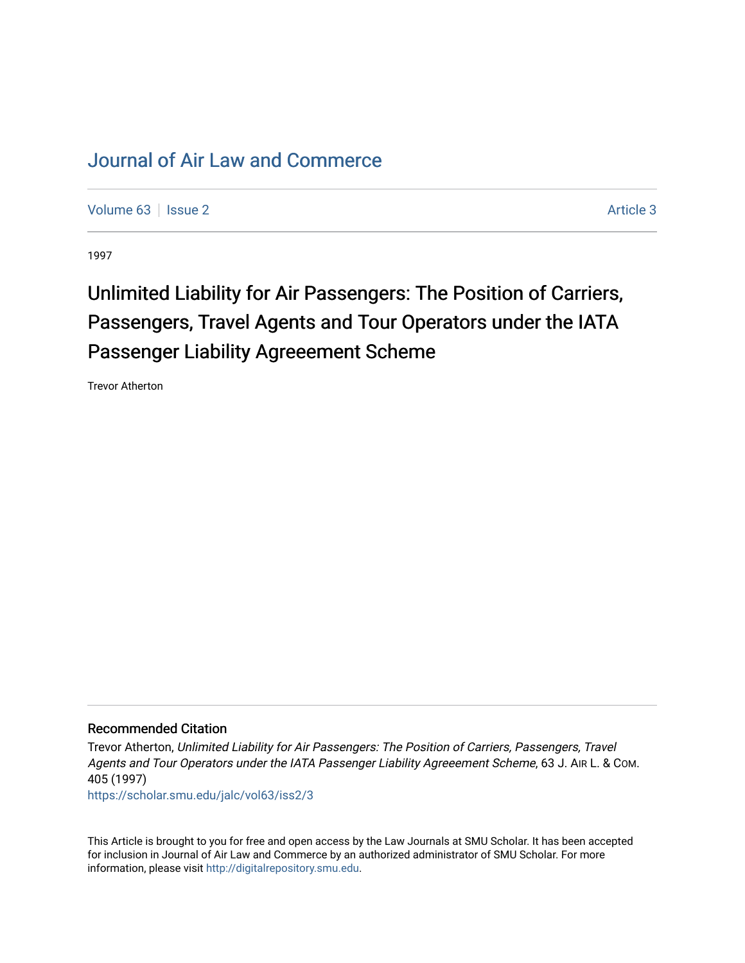# [Journal of Air Law and Commerce](https://scholar.smu.edu/jalc)

[Volume 63](https://scholar.smu.edu/jalc/vol63) | [Issue 2](https://scholar.smu.edu/jalc/vol63/iss2) [Article 3](https://scholar.smu.edu/jalc/vol63/iss2/3) | Issue 2 Article 3 | Issue 2 Article 3 | Issue 2 Article 3 | Issue 2 Article 3 | Issue 2 | Issue 2 | Issue 2 | Issue 2 | Issue 2 | Issue 2 | Issue 2 | Issue 2 | Issue 2 | Issue 2 | Issue 2 |

1997

# Unlimited Liability for Air Passengers: The Position of Carriers, Passengers, Travel Agents and Tour Operators under the IATA Passenger Liability Agreeement Scheme

Trevor Atherton

# Recommended Citation

Trevor Atherton, Unlimited Liability for Air Passengers: The Position of Carriers, Passengers, Travel Agents and Tour Operators under the IATA Passenger Liability Agreeement Scheme, 63 J. AIR L. & COM. 405 (1997)

[https://scholar.smu.edu/jalc/vol63/iss2/3](https://scholar.smu.edu/jalc/vol63/iss2/3?utm_source=scholar.smu.edu%2Fjalc%2Fvol63%2Fiss2%2F3&utm_medium=PDF&utm_campaign=PDFCoverPages) 

This Article is brought to you for free and open access by the Law Journals at SMU Scholar. It has been accepted for inclusion in Journal of Air Law and Commerce by an authorized administrator of SMU Scholar. For more information, please visit [http://digitalrepository.smu.edu](http://digitalrepository.smu.edu/).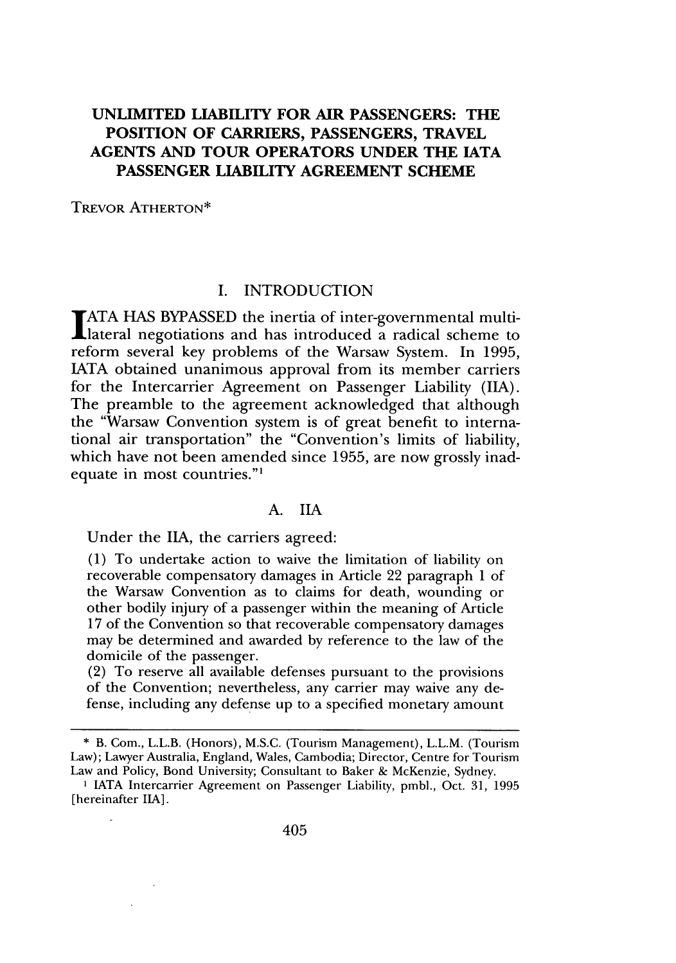# **UNLIMITED LIABILITY FOR AIR PASSENGERS: THE POSITION OF CARRIERS, PASSENGERS, TRAVEL AGENTS AND TOUR OPERATORS UNDER THE IATA PASSENGER LIABILITY AGREEMENT SCHEME**

TREVOR ATHERTON\*

# I. INTRODUCTION

**ATA HAS** BYPASSED the inertia of inter-governmental multilateral negotiations and has introduced a radical scheme to reform several key problems of the Warsaw System. In **1995, IATA** obtained unanimous approval from its member carriers for the Intercarrier Agreement on Passenger Liability **(IIA).** The preamble to the agreement acknowledged that although the "Warsaw Convention system is of great benefit to international air transportation" the "Convention's limits of liability, which have not been amended since **1955,** are now grossly inadequate in most countries."'

#### **A.** IIA

Under the **IIA,** the carriers agreed:

**(1)** To undertake action to waive the limitation of liability on recoverable compensatory damages in Article 22 paragraph **1** of the Warsaw Convention as to claims for death, wounding or other bodily injury of a passenger within the meaning of Article **17** of the Convention so that recoverable compensatory damages may be determined and awarded **by** reference to the law of the domicile of the passenger.

(2) To reserve all available defenses pursuant to the provisions of the Convention; nevertheless, any carrier may waive any defense, including any defense up to a specified monetary amount

**<sup>\*</sup>** B. Com., L.L.B. (Honors), **M.S.C.** (Tourism Management), L.L.M. (Tourism Law); Lawyer Australia, England, Wales, Cambodia; Director, Centre for Tourism Law and Policy, Bond University; Consultant to Baker **&** McKenzie, Sydney.

**I** IATA Intercarrier Agreement on Passenger Liability, pmbl., Oct. 31, 1995 [hereinafter IIA].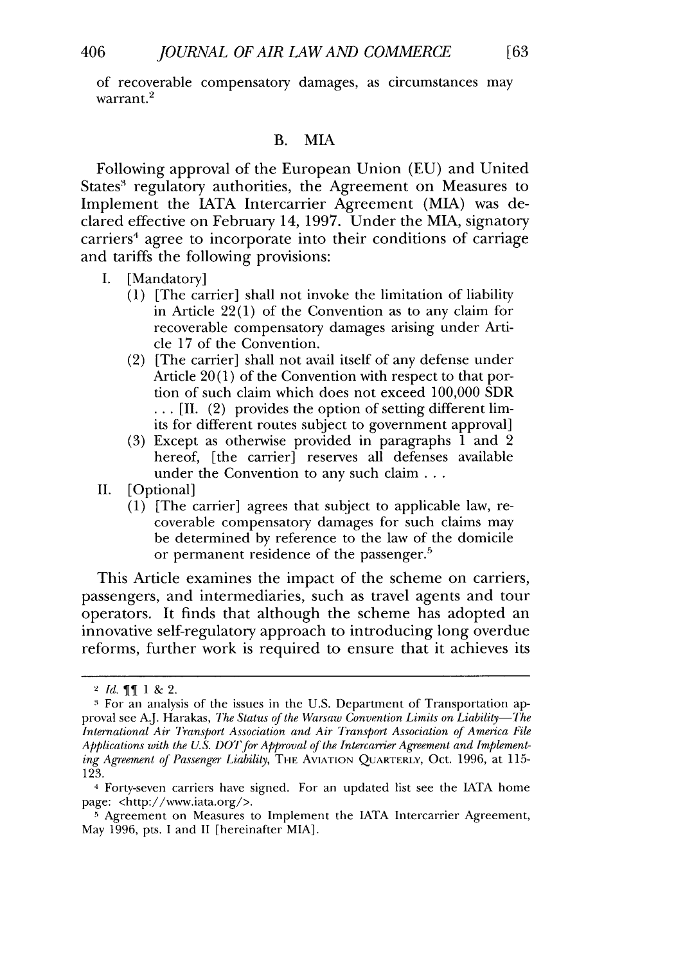of recoverable compensatory damages, as circumstances may  $\frac{1}{2}$  warrant.<sup>2</sup>

#### B. MIA

Following approval of the European Union (EU) and United States' regulatory authorities, the Agreement on Measures to Implement the IATA Intercarrier Agreement (MIA) was declared effective on February 14, 1997. Under the MIA, signatory carriers<sup>4</sup> agree to incorporate into their conditions of carriage and tariffs the following provisions:

- I. [Mandatory]
	- (1) [The carrier] shall not invoke the limitation of liability in Article 22(1) of the Convention as to any claim for recoverable compensatory damages arising under Article 17 of the Convention.
	- (2) [The carrier] shall not avail itself of any defense under Article  $20(1)$  of the Convention with respect to that portion of such claim which does not exceed 100,000 SDR **• \* ,** [II. (2) provides the option of setting different limits for different routes subject to government approval]
	- (3) Except as otherwise provided in paragraphs 1 and 2 hereof, [the carrier] reserves all defenses available under the Convention to any such claim **...**
- II. [Optional]
	- (1) [The carrier] agrees that subject to applicable law, recoverable compensatory damages for such claims may be determined by reference to the law of the domicile or permanent residence of the passenger.

This Article examines the impact of the scheme on carriers, passengers, and intermediaries, such as travel agents and tour operators. It finds that although the scheme has adopted an innovative self-regulatory approach to introducing long overdue reforms, further work is required to ensure that it achieves its

 $2$  *Id.* **11** & 2.

**<sup>&</sup>quot;** For an analysis of the issues in the U.S. Department of Transportation approval see A.J. Harakas, *The Status of the Warsaw Convention Limits on Liability-The International Air Transport Association and Air Transport Association of America File Applications with the U.S. DOT for Approval of the Intercarrier Agreement and Implementing Agreement of Passenger Liability*, THE AVIATION QUARTERLY, Oct. 1996, at 115-123.

<sup>4</sup> Forty-seven carriers have signed. For an updated list see the IATA home page: <http://www.iata.org/>.

**<sup>5</sup>**Agreement on Measures to Implement the IATA Intercarrier Agreement, May 1996, pts. I and II [hereinafter MIA].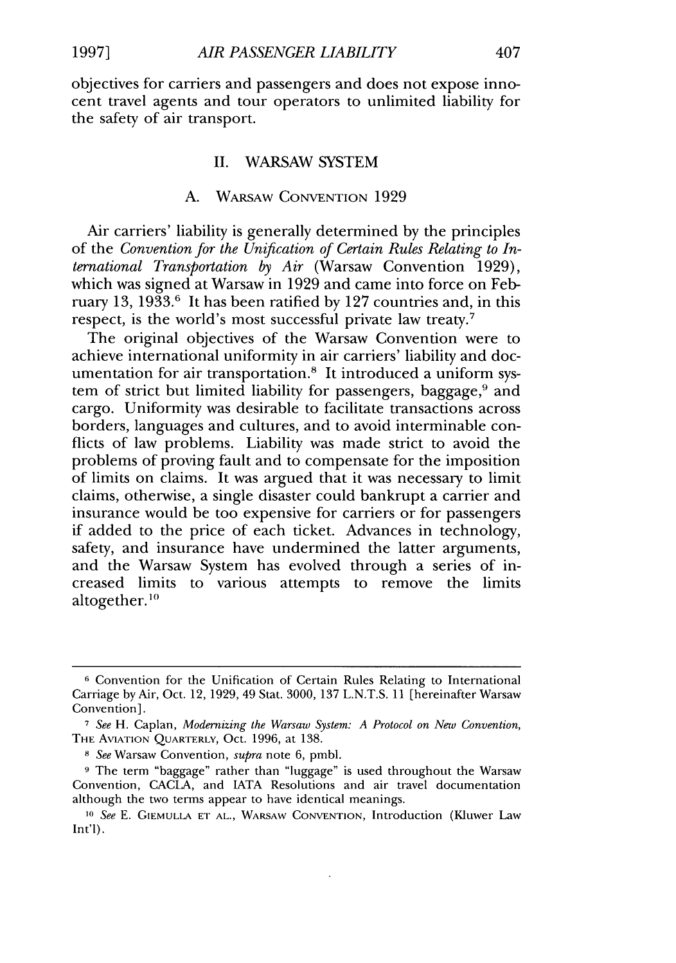objectives for carriers and passengers and does not expose innocent travel agents and tour operators to unlimited liability for the safety of air transport.

#### II. WARSAW SYSTEM

# A. WARSAW CONVENTION 1929

Air carriers' liability is generally determined by the principles of the *Convention for the Unification of Certain Rules Relating to International Transportation by Air* (Warsaw Convention 1929), which was signed at Warsaw in 1929 and came into force on February 13, 1933.6 It has been ratified by 127 countries and, in this respect, is the world's most successful private law treaty.7

The original objectives of the Warsaw Convention were to achieve international uniformity in air carriers' liability and documentation for air transportation.8 It introduced a uniform system of strict but limited liability for passengers, baggage,<sup>9</sup> and cargo. Uniformity was desirable to facilitate transactions across borders, languages and cultures, and to avoid interminable conflicts of law problems. Liability was made strict to avoid the problems of proving fault and to compensate for the imposition of limits on claims. It was argued that it was necessary to limit claims, otherwise, a single disaster could bankrupt a carrier and insurance would be too expensive for carriers or for passengers if added to the price of each ticket. Advances in technology, safety, and insurance have undermined the latter arguments, and the Warsaw System has evolved through a series of increased limits to various attempts to remove the limits altogether. **<sup>10</sup>**

**<sup>6</sup>** Convention for the Unification of Certain Rules Relating to International Carriage by Air, Oct. 12, 1929, 49 Stat. 3000, 137 L.N.T.S. 11 [hereinafter Warsaw Convention].

*<sup>7</sup> See* H. Caplan, *Modernizing the Warsaw System: A Protocol on New Convention,* **THE** AVIATION QUARTERLY, Oct. 1996, at 138.

*<sup>8</sup> See* Warsaw Convention, *supra* note 6, pmbl.

**<sup>9</sup>** The term "baggage" rather than "luggage" is used throughout the Warsaw Convention, CACLA, and IATA Resolutions and air travel documentation although the two terms appear to have identical meanings.

*<sup>10</sup>See* E. **GIEMULLA ET AL.,** WARSAW CONVENTION, Introduction (Kluwer Law Int'l).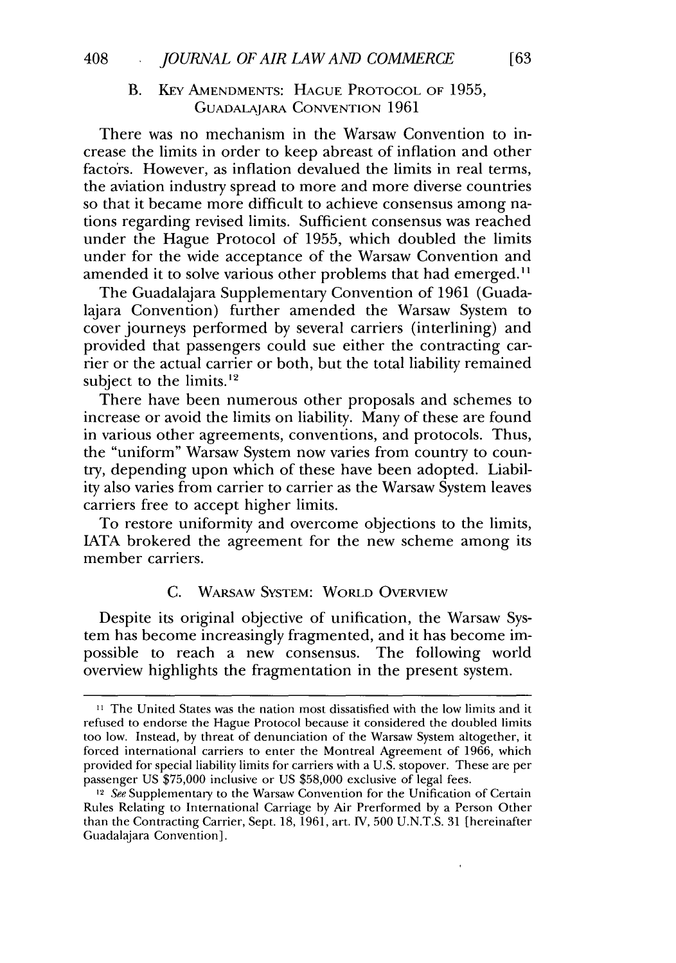# B. KEY AMENDMENTS: HAGUE PROTOCOL OF 1955, GUADALAJARA CONVENTION 1961

There was no mechanism in the Warsaw Convention to increase the limits in order to keep abreast of inflation and other factors. However, as inflation devalued the limits in real terms, the aviation industry spread to more and more diverse countries so that it became more difficult to achieve consensus among nations regarding revised limits. Sufficient consensus was reached under the Hague Protocol of 1955, which doubled the limits under for the wide acceptance of the Warsaw Convention and amended it to solve various other problems that had emerged.<sup>11</sup>

The Guadalajara Supplementary Convention of 1961 (Guadalajara Convention) further amended the Warsaw System to cover journeys performed by several carriers (interlining) and provided that passengers could sue either the contracting carrier or the actual carrier or both, but the total liability remained subject to the limits. $12$ 

There have been numerous other proposals and schemes to increase or avoid the limits on liability. Many of these are found in various other agreements, conventions, and protocols. Thus, the "uniform" Warsaw System now varies from country to country, depending upon which of these have been adopted. Liability also varies from carrier to carrier as the Warsaw System leaves carriers free to accept higher limits.

To restore uniformity and overcome objections to the limits, IATA brokered the agreement for the new scheme among its member carriers.

# C. WARSAW SYSTEM: WORLD OVERVIEW

Despite its original objective of unification, the Warsaw System has become increasingly fragmented, and it has become impossible to reach a new consensus. The following world overview highlights the fragmentation in the present system.

**<sup>11</sup>** The United States was the nation most dissatisfied with the low limits and it refused to endorse the Hague Protocol because it considered the doubled limits too low. Instead, by threat of denunciation of the Warsaw System altogether, it forced international carriers to enter the Montreal Agreement of 1966, which provided for special liability limits for carriers with a U.S. stopover. These are per passenger US \$75,000 inclusive or US \$58,000 exclusive of legal fees.

<sup>&</sup>lt;sup>12</sup> See Supplementary to the Warsaw Convention for the Unification of Certain Rules Relating to International Carriage by Air Prerformed by a Person Other than the Contracting Carrier, Sept. 18, 1961, art. IV, 500 U.N.T.S. 31 [hereinafter Guadalajara Convention].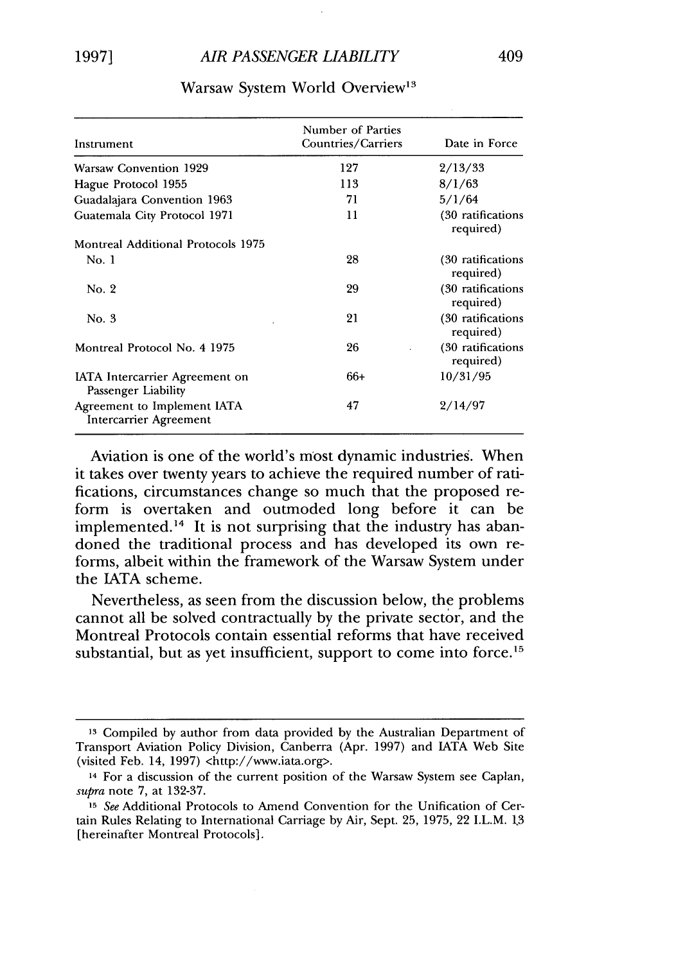| Instrument                                            | Number of Parties<br>Countries/Carriers | Date in Force                   |  |
|-------------------------------------------------------|-----------------------------------------|---------------------------------|--|
| <b>Warsaw Convention 1929</b>                         | 127                                     | 2/13/33                         |  |
| Hague Protocol 1955                                   | 113                                     | 8/1/63                          |  |
| Guadalajara Convention 1963                           | 71                                      | 5/1/64                          |  |
| Guatemala City Protocol 1971                          | 11                                      | (30 ratifications)<br>required) |  |
| Montreal Additional Protocols 1975                    |                                         |                                 |  |
| No. 1                                                 | 28                                      | (30 ratifications<br>required)  |  |
| No. 2                                                 | 29                                      | (30 ratifications<br>required)  |  |
| No. 3                                                 | 21                                      | (30 ratifications<br>required)  |  |
| Montreal Protocol No. 4 1975                          | 26                                      | (30 ratifications<br>required)  |  |
| IATA Intercarrier Agreement on<br>Passenger Liability | 66+                                     | 10/31/95                        |  |
| Agreement to Implement IATA<br>Intercarrier Agreement | 47                                      | 2/14/97                         |  |

#### Warsaw System World Overview<sup>13</sup>

Aviation is one of the world's most dynamic industries. When it takes over twenty years to achieve the required number of ratifications, circumstances change so much that the proposed reform is overtaken and outmoded long before it can be implemented.<sup>14</sup> It is not surprising that the industry has abandoned the traditional process and has developed its own reforms, albeit within the framework of the Warsaw System under the IATA scheme.

Nevertheless, as seen from the discussion below, the problems cannot all be solved contractually by the private sector, and the Montreal Protocols contain essential reforms that have received substantial, but as yet insufficient, support to come into force.<sup>15</sup>

**<sup>13</sup>**Compiled by author from data provided by the Australian Department of Transport Aviation Policy Division, Canberra (Apr. 1997) and IATA Web Site (visited Feb. 14, 1997) <http://www.iata.org>.

<sup>&</sup>lt;sup>14</sup> For a discussion of the current position of the Warsaw System see Caplan, *supra* note 7, at 132-37.

**<sup>15</sup>** *See* Additional Protocols to Amend Convention for the Unification of Certain Rules Relating to International Carriage by Air, Sept. 25, 1975, 22 I.L.M. **1,3** [hereinafter Montreal Protocols].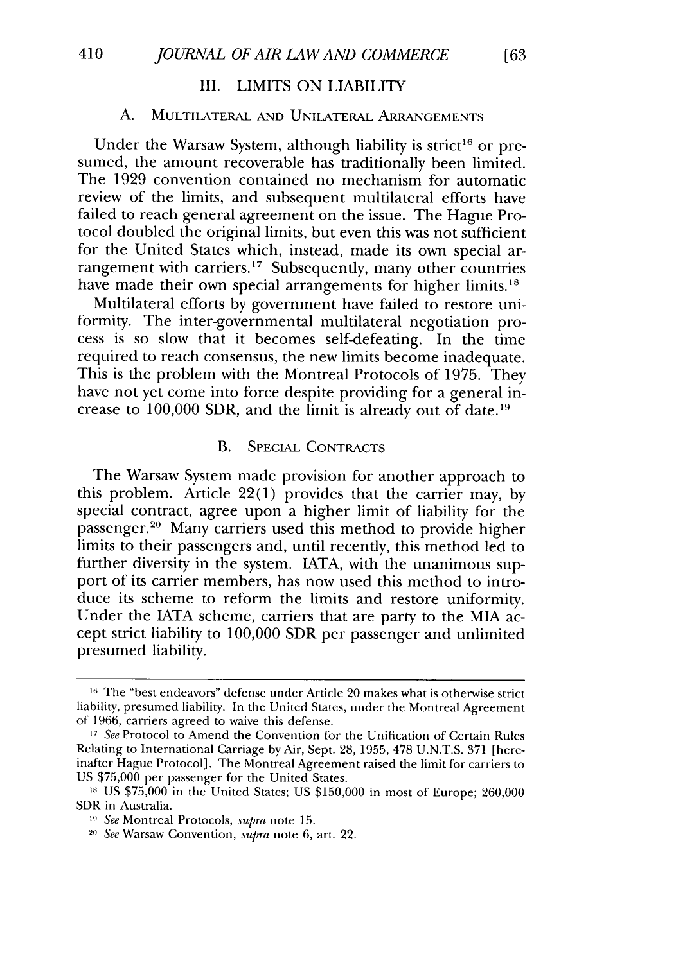# III. LIMITS ON LIABILITY

#### A. MULTILATERAL AND UNILATERAL ARRANGEMENTS

Under the Warsaw System, although liability is strict<sup>16</sup> or presumed, the amount recoverable has traditionally been limited. The 1929 convention contained no mechanism for automatic review of the limits, and subsequent multilateral efforts have failed to reach general agreement on the issue. The Hague Protocol doubled the original limits, but even this was not sufficient for the United States which, instead, made its own special arrangement with carriers.<sup>17</sup> Subsequently, many other countries have made their own special arrangements for higher limits.<sup>18</sup>

Multilateral efforts by government have failed to restore uniformity. The inter-governmental multilateral negotiation process is so slow that it becomes self-defeating. In the time required to reach consensus, the new limits become inadequate. This is the problem with the Montreal Protocols of 1975. They have not yet come into force despite providing for a general increase to  $100,000$  SDR, and the limit is already out of date.<sup>19</sup>

#### B. SPECIAL CONTRACTS

The Warsaw System made provision for another approach to this problem. Article 22(1) provides that the carrier may, by special contract, agree upon a higher limit of liability for the passenger.<sup>20</sup> Many carriers used this method to provide higher limits to their passengers and, until recently, this method led to further diversity in the system. IATA, with the unanimous support of its carrier members, has now used this method to introduce its scheme to reform the limits and restore uniformity. Under the IATA scheme, carriers that are party to the MIA accept strict liability to 100,000 SDR per passenger and unlimited presumed liability.

**l6** The "best endeavors" defense under Article 20 makes what is otherwise strict liability, presumed liability. In the United States, under the Montreal Agreement of 1966, carriers agreed to waive this defense.

**<sup>17</sup>***See* Protocol to Amend the Convention for the Unification of Certain Rules Relating to International Carriage by Air, Sept. 28, 1955, 478 U.N.T.S. 371 [hereinafter Hague Protocol]. The Montreal Agreement raised the limit for carriers to US \$75,000 per passenger for the United States.

**<sup>18</sup>**US \$75,000 in the United States; US \$150,000 in most of Europe; 260,000 SDR in Australia.

*<sup>19</sup> See* Montreal Protocols, *supra* note 15.

**<sup>20</sup>***See* Warsaw Convention, *supra* note 6, art. 22.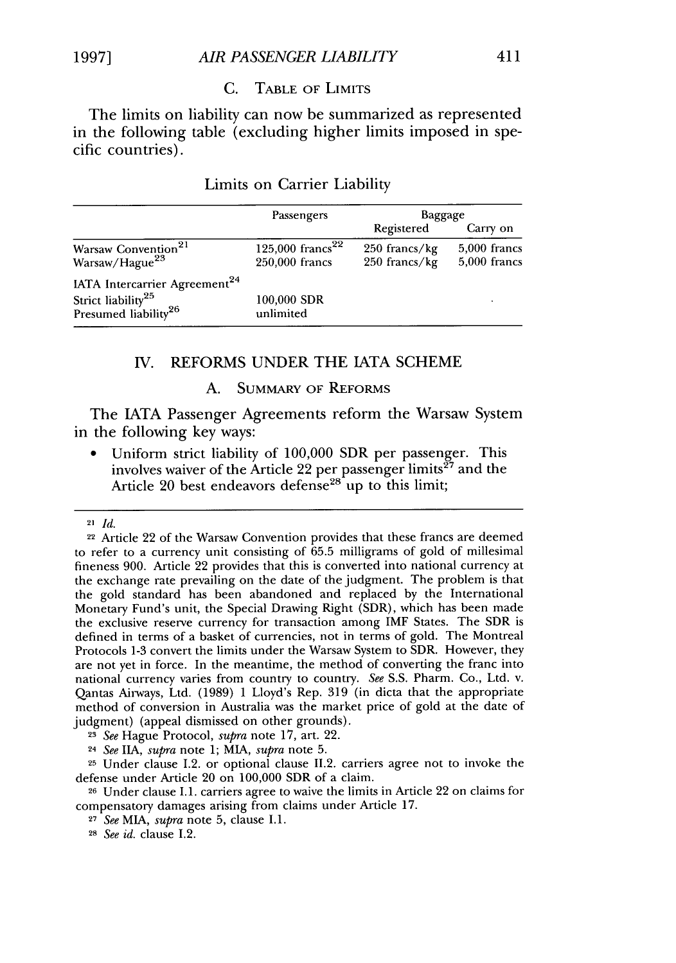#### C. TABLE OF LIMITS

The limits on liability can now be summarized as represented in the following table (excluding higher limits imposed in specific countries).

|                                                                                                                 | Passengers                                     | Baggage                          |                                  |
|-----------------------------------------------------------------------------------------------------------------|------------------------------------------------|----------------------------------|----------------------------------|
|                                                                                                                 |                                                | Registered                       | Carry on                         |
| Warsaw Convention <sup>21</sup><br>Warsaw/Hague <sup>23</sup>                                                   | 125,000 francs <sup>22</sup><br>250,000 francs | $250$ francs/kg<br>250 francs/kg | $5,000$ francs<br>$5,000$ francs |
| IATA Intercarrier Agreement <sup>24</sup><br>Strict liability <sup>25</sup><br>Presumed liability <sup>26</sup> | 100,000 SDR<br>unlimited                       |                                  |                                  |

#### Limits on Carrier Liability

#### IV. REFORMS UNDER THE IATA SCHEME

#### A. SUMMARY OF REFORMS

The LATA Passenger Agreements reform the Warsaw System in the following key ways:

**0** Uniform strict liability of 100,000 SDR per passenger. This involves waiver of the Article 22 per passenger limits<sup> $27$ </sup> and the Article 20 best endeavors defense<sup>28</sup> up to this limit;

<sup>23</sup>*See* Hague Protocol, *supra* note 17, art. 22.

<sup>24</sup>*See IIA, supra* note 1; MIA, *supra* note 5.

25 Under clause 1.2. or optional clause 11.2. carriers agree not to invoke the defense under Article 20 on 100,000 SDR of a claim.

26 Under clause 1.1. carriers agree to waive the limits in Article 22 on claims for compensatory damages arising from claims under Article 17.

**<sup>27</sup>***See* MIA, *supra* note 5, clause 1.1.

28 *See id.* clause 1.2.

<sup>21</sup> *Id.*

<sup>22</sup> Article 22 of the Warsaw Convention provides that these francs are deemed to refer to a currency unit consisting of 65.5 milligrams of gold of millesimal fineness 900. Article 22 provides that this is converted into national currency at the exchange rate prevailing on the date of the judgment. The problem is that the gold standard has been abandoned and replaced by the International Monetary Fund's unit, the Special Drawing Right (SDR), which has been made the exclusive reserve currency for transaction among IMF States. The SDR is defined in terms of a basket of currencies, not in terms of gold. The Montreal Protocols 1-3 convert the limits under the Warsaw System to SDR. However, they are not yet in force. In the meantime, the method of converting the franc into national currency varies from country to country. *See* S.S. Pharm. Co., Ltd. v. Qantas Airways, Ltd. (1989) 1 Lloyd's Rep. 319 (in dicta that the appropriate method of conversion in Australia was the market price of gold at the date of judgment) (appeal dismissed on other grounds).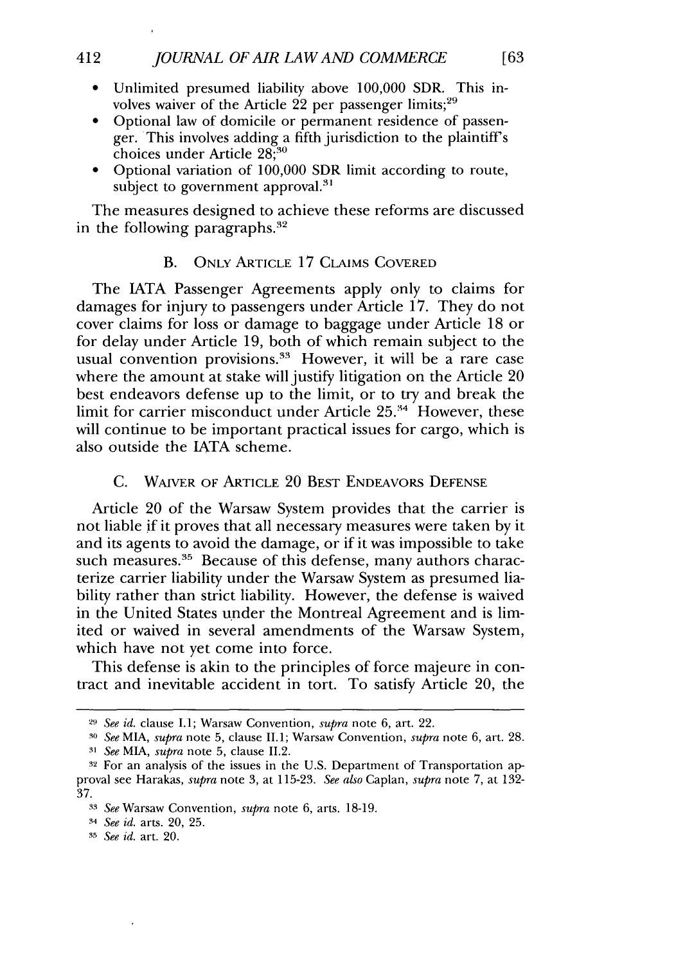- **"** Unlimited presumed liability above 100,000 SDR. This involves waiver of the Article 22 per passenger limits; $^{29}$
- Optional law of domicile or permanent residence of passenger. This involves adding a fifth jurisdiction to the plaintiff's choices under Article *28;30*
- \* Optional variation of **100,000** SDR limit according to route, subject to government approval. $31$

The measures designed to achieve these reforms are discussed in the following paragraphs. $32$ 

#### B. ONLY ARTICLE 17 CLAIMS COVERED

The IATA Passenger Agreements apply only to claims for damages for injury to passengers under Article 17. They do not cover claims for loss or damage to baggage under Article 18 or for delay under Article 19, both of which remain subject to the usual convention provisions. $33$  However, it will be a rare case where the amount at stake will justify litigation on the Article 20 best endeavors defense up to the limit, or to try and break the limit for carrier misconduct under Article **25."** However, these will continue to be important practical issues for cargo, which is also outside the LATA scheme.

#### C. WAIVER OF ARTICLE 20 BEST ENDEAVORS DEFENSE

Article 20 of the Warsaw System provides that the carrier is not liable **if** it proves that all necessary measures were taken by it and its agents to avoid the damage, or if it was impossible to take such measures.<sup>35</sup> Because of this defense, many authors characterize carrier liability under the Warsaw System as presumed liability rather than strict liability. However, the defense is waived in the United States under the Montreal Agreement and is limited or waived in several amendments of the Warsaw System, which have not yet come into force.

This defense is akin to the principles of force majeure in contract and inevitable accident in tort. To satisfy Article 20, the

*<sup>29</sup>See id.* clause 1.1; Warsaw Convention, *supra* note 6, art. 22.

*<sup>30</sup>See* MIA, *supra* note 5, clause **11.1;** Warsaw Convention, *supra* note 6, art. 28. *31 See MIA, supra* note 5, clause 11.2.

**<sup>32</sup>** For an analysis of the issues in the U.S. Department of Transportation approval see Harakas, *supra* note 3, at 115-23. *See also* Caplan, *supra* note 7, at 132- 37.

*<sup>33</sup>See* Warsaw Convention, *supra* note 6, arts. 18-19.

*<sup>34</sup>See id.* arts. 20, 25.

*<sup>35</sup> See id.* art. 20.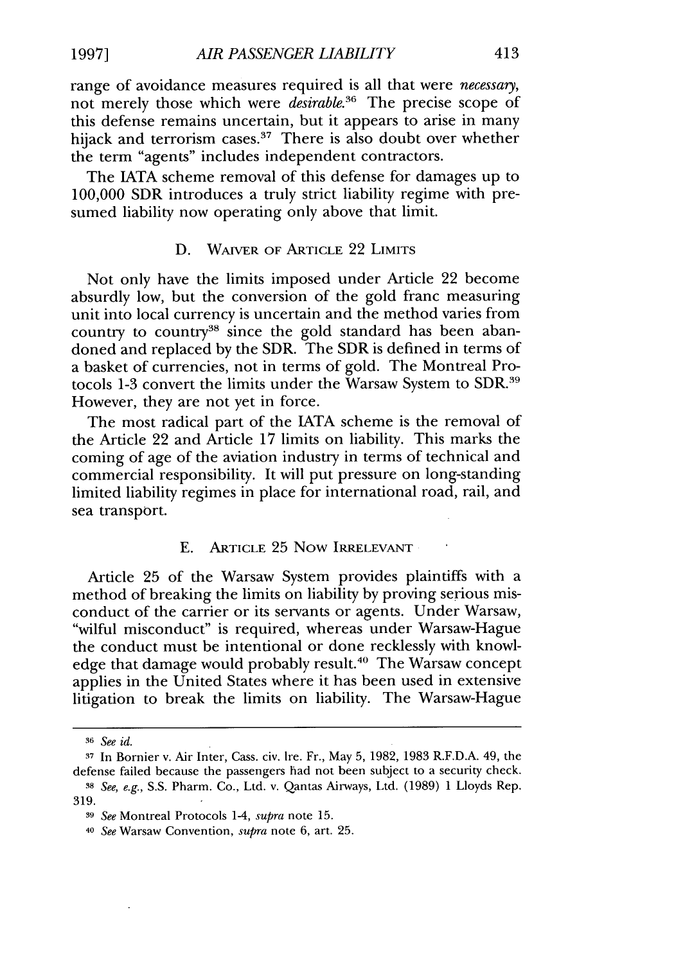range of avoidance measures required is all that were *necessary,* not merely those which were *desirable.36* The precise scope of this defense remains uncertain, but it appears to arise in many hijack and terrorism cases.<sup>37</sup> There is also doubt over whether the term "agents" includes independent contractors.

The IATA scheme removal of this defense for damages up to 100,000 SDR introduces a truly strict liability regime with presumed liability now operating only above that limit.

# D. WAIVER OF ARTICLE 22 LIMITS

Not only have the limits imposed under Article 22 become absurdly low, but the conversion of the gold franc measuring unit into local currency is uncertain and the method varies from country to country<sup>38</sup> since the gold standard has been abandoned and replaced by the SDR. The SDR is defined in terms of a basket of currencies, not in terms of gold. The Montreal Protocols 1-3 convert the limits under the Warsaw System to SDR.<sup>39</sup> However, they are not yet in force.

The most radical part of the IATA scheme is the removal of the Article 22 and Article 17 limits on liability. This marks the coming of age of the aviation industry in terms of technical and commercial responsibility. It will put pressure on long-standing limited liability regimes in place for international road, rail, and sea transport.

#### E. ARTICLE 25 Now IRRELEVANT

Article 25 of the Warsaw System provides plaintiffs with a method of breaking the limits on liability by proving serious misconduct of the carrier or its servants or agents. Under Warsaw, "wilful misconduct" is required, whereas under Warsaw-Hague the conduct must be intentional or done recklessly with knowledge that damage would probably result.<sup>40</sup> The Warsaw concept applies in the United States where it has been used in extensive litigation to break the limits on liability. The Warsaw-Hague

*<sup>36</sup> See id.*

**<sup>37</sup>**In Bornier v. Air Inter, Cass. civ. Ire. Fr., May 5,1982, 1983 R.F.D.A. 49, the defense failed because the passengers had not been subject to a security check.

*<sup>38</sup>See, e.g.,* S.S. Pharm. Co., Ltd. v. Qantas Airways, Ltd. (1989) 1 Lloyds Rep. 319.

*<sup>39</sup>See* Montreal Protocols 1-4, *supra* note 15.

<sup>40</sup>*See* Warsaw Convention, *supra* note 6, art. 25.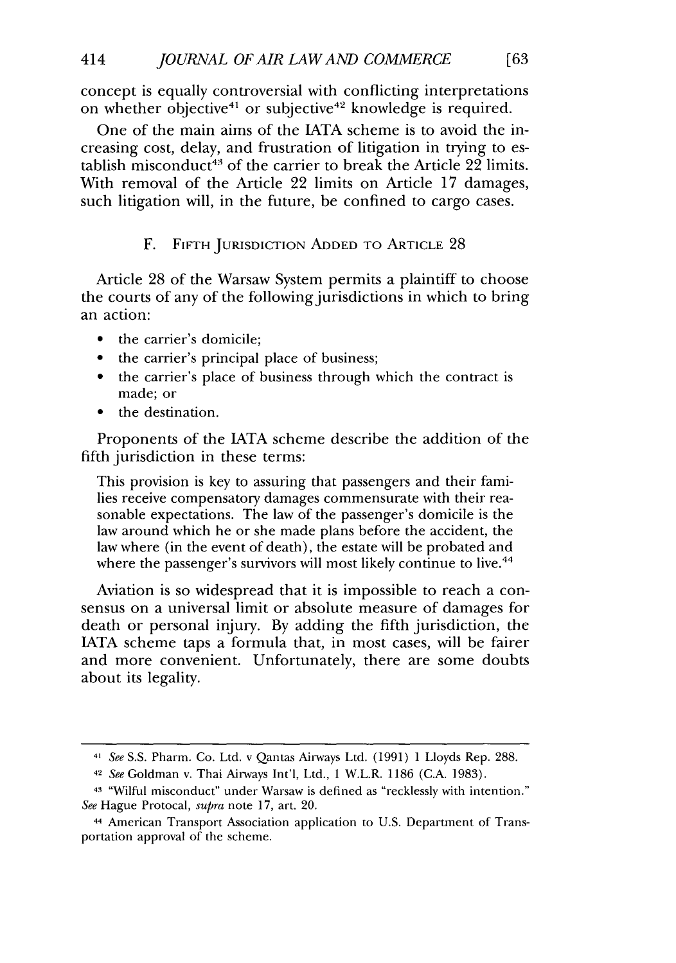concept is equally controversial with conflicting interpretations on whether objective<sup>41</sup> or subjective<sup>42</sup> knowledge is required.

[63]

One of the main aims of the IATA scheme is to avoid the increasing cost, delay, and frustration of litigation in trying to establish misconduct<sup>43</sup> of the carrier to break the Article 22 limits. With removal of the Article 22 limits on Article 17 damages, such litigation will, in the future, be confined to cargo cases.

# F. FIFTH JURISDICTION ADDED TO ARTICLE 28

Article 28 of the Warsaw System permits a plaintiff to choose the courts of any of the following jurisdictions in which to bring an action:

- the carrier's domicile;
- the carrier's principal place of business;
- **"** the carrier's place of business through which the contract is made; or
- the destination.

Proponents of the IATA scheme describe the addition of the fifth jurisdiction in these terms:

This provision is key to assuring that passengers and their families receive compensatory damages commensurate with their reasonable expectations. The law of the passenger's domicile is the law around which he or she made plans before the accident, the law where (in the event of death), the estate will be probated and where the passenger's survivors will most likely continue to live.<sup>44</sup>

Aviation is so widespread that it is impossible to reach a consensus on a universal limit or absolute measure of damages for death or personal injury. By adding the fifth jurisdiction, the IATA scheme taps a formula that, in most cases, will be fairer and more convenient. Unfortunately, there are some doubts about its legality.

*<sup>41</sup> See* S.S. Pharm. Co. Ltd. v Qantas Airways Ltd. (1991) 1 Lloyds Rep. 288.

<sup>42</sup>*See* Goldman v. Thai Airways Int'l, Ltd., 1 W.L.R. 1186 (C.A. 1983).

<sup>43 &</sup>quot;Wilful misconduct" under Warsaw is defined as "recklessly with intention." *See* Hague Protocal, *supra* note 17, art. 20.

<sup>44</sup> American Transport Association application to U.S. Department of Transportation approval of the scheme.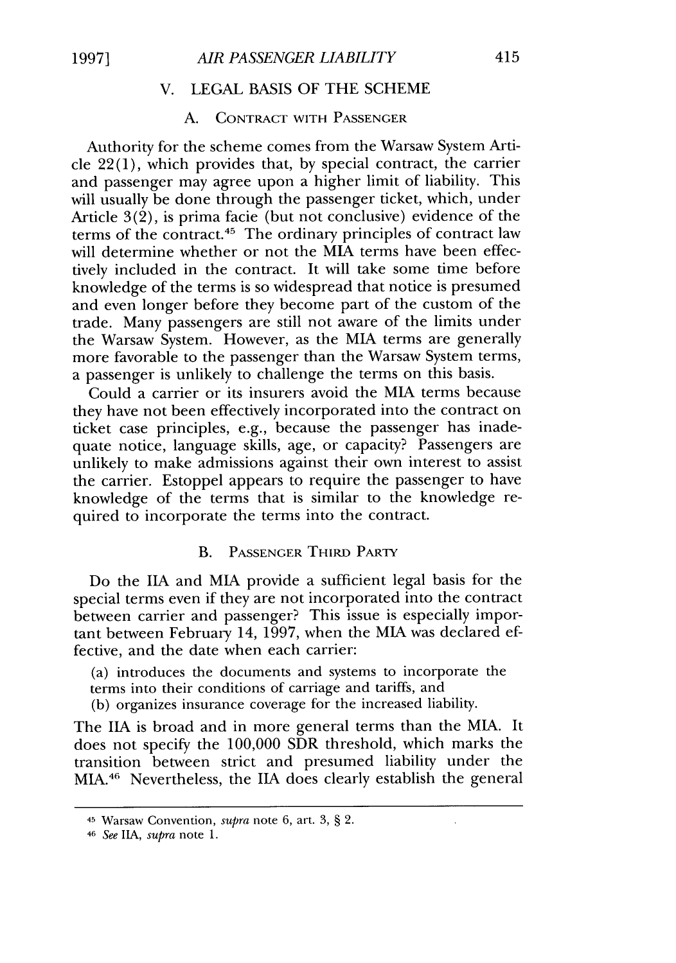# V. LEGAL BASIS OF THE SCHEME

# A. CONTRACT WITH **PASSENGER**

Authority for the scheme comes from the Warsaw System Article 22(1), which provides that, by special contract, the carrier and passenger may agree upon a higher limit of liability. This will usually be done through the passenger ticket, which, under Article 3(2), is prima facie (but not conclusive) evidence of the terms of the contract.<sup>45</sup> The ordinary principles of contract law will determine whether or not the MIA terms have been effectively included in the contract. It will take some time before knowledge of the terms is so widespread that notice is presumed and even longer before they become part of the custom of the trade. Many passengers are still not aware of the limits under the Warsaw System. However, as the MIA terms are generally more favorable to the passenger than the Warsaw System terms, a passenger is unlikely to challenge the terms on this basis.

Could a carrier or its insurers avoid the MIA terms because they have not been effectively incorporated into the contract on ticket case principles, e.g., because the passenger has inadequate notice, language skills, age, or capacity? Passengers are unlikely to make admissions against their own interest to assist the carrier. Estoppel appears to require the passenger to have knowledge of the terms that is similar to the knowledge required to incorporate the terms into the contract.

#### B. **PASSENGER** THIRD PARTY

Do the **IIA** and MIA provide a sufficient legal basis for the special terms even if they are not incorporated into the contract between carrier and passenger? This issue is especially important between February 14, 1997, when the MIA was declared effective, and the date when each carrier:

(a) introduces the documents and systems to incorporate the terms into their conditions of carriage and tariffs, and

(b) organizes insurance coverage for the increased liability.

The **IIA** is broad and in more general terms than the MIA. It does not specify the 100,000 SDR threshold, which marks the transition between strict and presumed liability under the MIA.46 Nevertheless, the IIA does clearly establish the general

**<sup>45</sup>**Warsaw Convention, *supra* note 6, art. 3, § 2.

<sup>46</sup>*See* **11A,** *supra* note 1.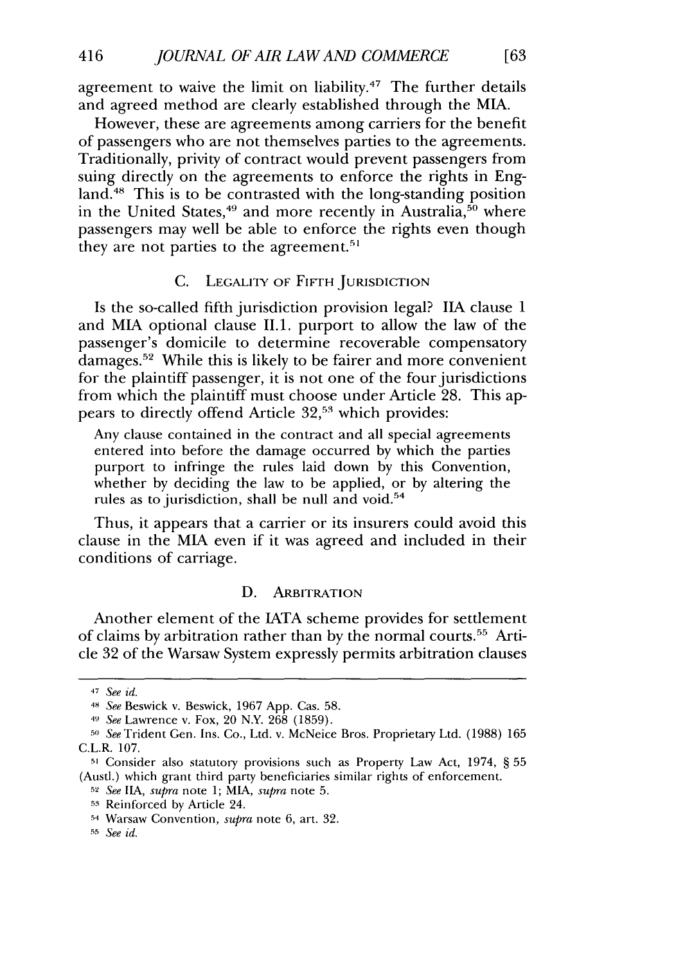agreement to waive the limit on liability.<sup>47</sup> The further details and agreed method are clearly established through the MIA.

However, these are agreements among carriers for the benefit of passengers who are not themselves parties to the agreements. Traditionally, privity of contract would prevent passengers from suing directly on the agreements to enforce the rights in England.<sup>48</sup> This is to be contrasted with the long-standing position in the United States,<sup>49</sup> and more recently in Australia,<sup>50</sup> where passengers may well be able to enforce the rights even though they are not parties to the agreement.<sup>5</sup>

#### **C.** LEGALITY OF FIFTH JURISDICTION

Is the so-called fifth jurisdiction provision legal? **11A** clause 1 and MIA optional clause I1.1. purport to allow the law of the passenger's domicile to determine recoverable compensatory damages.52 While this is likely to be fairer and more convenient for the plaintiff passenger, it is not one of the four jurisdictions from which the plaintiff must choose under Article 28. This appears to directly offend Article 32,<sup>53</sup> which provides:

Any clause contained in the contract and all special agreements entered into before the damage occurred by which the parties purport to infringe the rules laid down by this Convention, whether by deciding the law to be applied, or by altering the rules as to jurisdiction, shall be null and void.<sup>54</sup>

Thus, it appears that a carrier or its insurers could avoid this clause in the MIA even if it was agreed and included in their conditions of carriage.

#### **D.** ARBITRATION

Another element of the IATA scheme provides for settlement of claims by arbitration rather than by the normal courts.55 Article 32 of the Warsaw System expressly permits arbitration clauses

*<sup>47</sup> See id.*

<sup>48</sup>*See* Beswick v. Beswick, 1967 App. Cas. 58.

*<sup>49</sup> See* Lawrence v. Fox, 20 N.Y. 268 (1859).

*<sup>50</sup>See* Trident Gen. Ins. Co., Ltd. v. McNeice Bros. Proprietary Ltd. (1988) 165 C.L.R. 107.

**<sup>51</sup>** Consider also statutory provisions such as Property Law Act, 1974, § 55 (Austl.) which grant third party beneficiaries similar rights of enforcement.

**<sup>52</sup>***See 11A, supra* note 1; MIA, *supra* note 5.

**<sup>53</sup>**Reinforced by Article 24.

**<sup>5,</sup>** Warsaw Convention, *supra* note 6, art. 32.

*<sup>55</sup> See id.*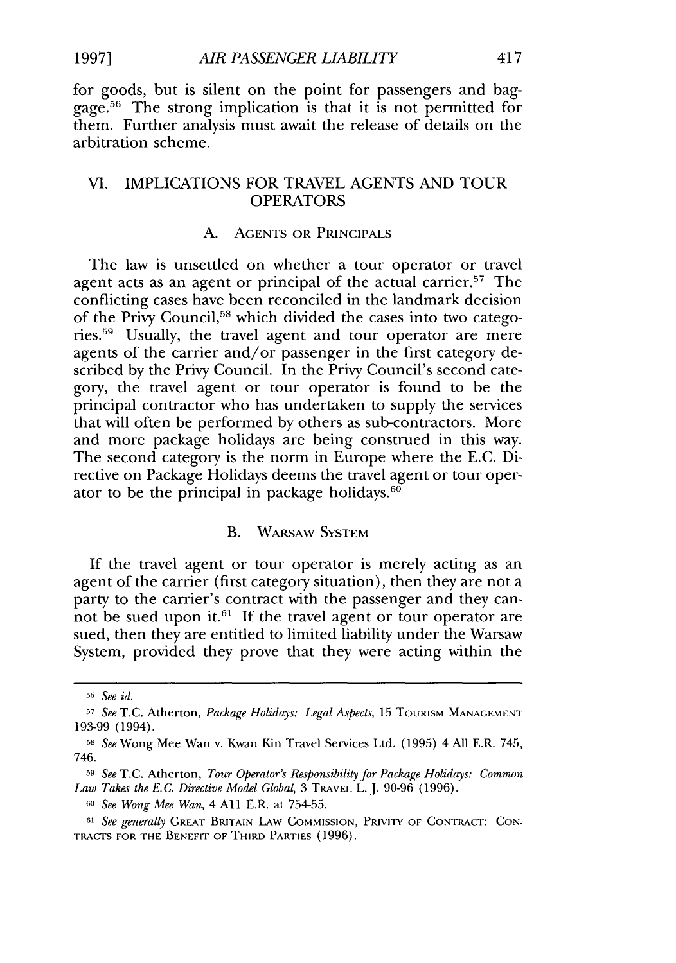for goods, but is silent on the point for passengers and baggage.56 The strong implication is that it is not permitted for them. Further analysis must await the release of details on the arbitration scheme.

# VI. IMPLICATIONS FOR TRAVEL AGENTS AND TOUR OPERATORS

#### A. AGENTS OR PRINCIPALS

The law is unsettled on whether a tour operator or travel agent acts as an agent or principal of the actual carrier.<sup>57</sup> The conflicting cases have been reconciled in the landmark decision of the Privy Council,<sup>58</sup> which divided the cases into two categories.<sup>59</sup> Usually, the travel agent and tour operator are mere agents of the carrier and/or passenger in the first category described by the Privy Council. In the Privy Council's second category, the travel agent or tour operator is found to be the principal contractor who has undertaken to supply the services that will often be performed by others as sub-contractors. More and more package holidays are being construed in this way. The second category is the norm in Europe where the E.C. Directive on Package Holidays deems the travel agent or tour operator to be the principal in package holidays.<sup>60</sup>

#### B. WARSAW SYSTEM

If the travel agent or tour operator is merely acting as an agent of the carrier (first category situation), then they are not a party to the carrier's contract with the passenger and they cannot be sued upon it. $61$  If the travel agent or tour operator are sued, then they are entitled to limited liability under the Warsaw System, provided they prove that they were acting within the

*<sup>56</sup>See id.*

*<sup>57</sup>See* T.C. Atherton, *Package Holidays: Legal Aspects,* 15 TOURISM **MANAGEMENT** 193-99 (1994).

**<sup>58</sup>***See* Wong Mee Wan v. Kwan Kin Travel Services Ltd. (1995) 4 All E.R. 745, 746.

**<sup>59</sup>***See* T.C. Atherton, *Tour Operator's Responsibility for Package Holidays: Common Law Takes the E.C. Directive Model Global,* 3 TRAVEL L. J. 90-96 (1996).

**<sup>60</sup>***See Wong Mee Wan,* 4 All E.R. at 754-55.

*<sup>61</sup> See generally* GREAT BRITAIN LAW **COMMISSION,** PRIVITY OF **CONTRACT: CON-**TRACTS FOR THE **BENEFIT** OF THIRD PARTIES (1996).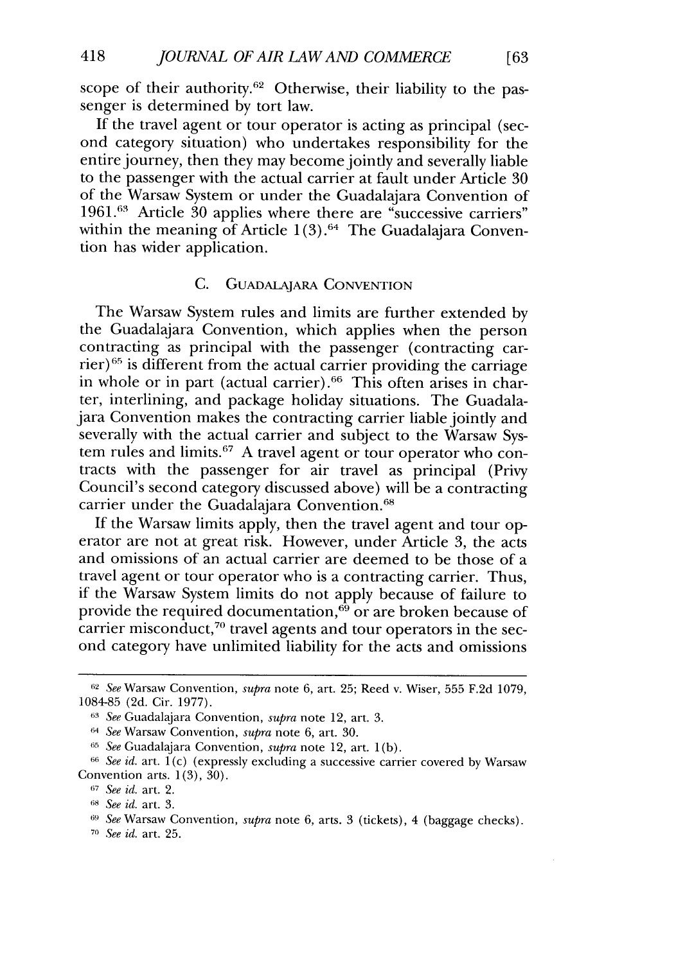scope of their authority.<sup>62</sup> Otherwise, their liability to the passenger is determined by tort law.

If the travel agent or tour operator is acting as principal (second category situation) who undertakes responsibility for the entire journey, then they may become jointly and severally liable to the passenger with the actual carrier at fault under Article 30 of the Warsaw System or under the Guadalajara Convention of 1961.<sup>63</sup> Article 30 applies where there are "successive carriers" within the meaning of Article  $1(3)$ .<sup>64</sup> The Guadalajara Convention has wider application.

#### C. GuADALAJARA CONVENTION

The Warsaw System rules and limits are further extended by the Guadalajara Convention, which applies when the person contracting as principal with the passenger (contracting car $rier)$ <sup>65</sup> is different from the actual carrier providing the carriage in whole or in part (actual carrier).<sup>66</sup> This often arises in charter, interlining, and package holiday situations. The Guadalajara Convention makes the contracting carrier liable jointly and severally with the actual carrier and subject to the Warsaw System rules and limits.<sup>67</sup> A travel agent or tour operator who contracts with the passenger for air travel as principal (Privy Council's second category discussed above) will be a contracting carrier under the Guadalajara Convention.<sup>68</sup>

If the Warsaw limits apply, then the travel agent and tour operator are not at great risk. However, under Article 3, the acts and omissions of an actual carrier are deemed to be those of a travel agent or tour operator who is a contracting carrier. Thus, if the Warsaw System limits do not apply because of failure to provide the required documentation,<sup>69</sup> or are broken because of carrier misconduct,<sup>70</sup> travel agents and tour operators in the second category have unlimited liability for the acts and omissions

[63

*<sup>62</sup> See* Warsaw Convention, *supra* note 6, art. 25; Reed v. Wiser, 555 F.2d 1079, 1084-85 (2d. Cir. 1977).

*<sup>63</sup>See* Guadalajara Convention, *supra* note 12, art. 3.

*<sup>64</sup> See* Warsaw Convention, *supra* note 6, art. 30.

**<sup>65</sup>***See* Guadalajara Convention, *supra* note 12, art. 1(b).

**<sup>66</sup>***See id.* art. 1 (c) (expressly excluding a successive carrier covered by Warsaw Convention arts.  $1(3)$ ,  $30$ ).

**<sup>67</sup>** *See id.* art. 2.

**<sup>68</sup>** *See id.* art. 3.

*<sup>611</sup> See* Warsaw Convention, *supra* note 6, arts. 3 (tickets), 4 (baggage checks).

<sup>70</sup> *See id.* art. 25.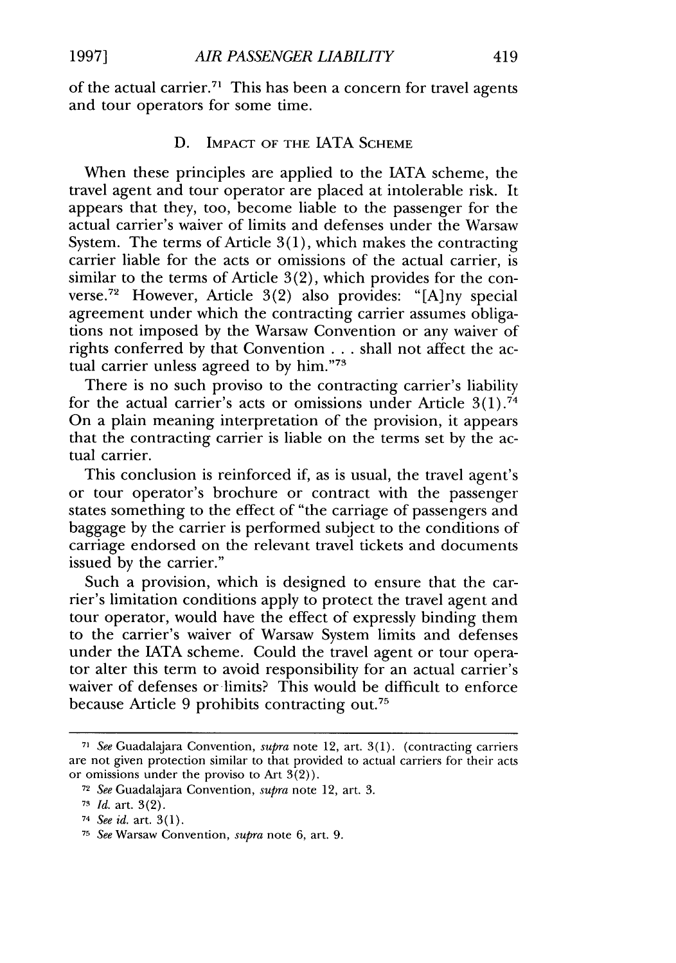of the actual carrier.71 This has been a concern for travel agents and tour operators for some time.

#### D. IMPACT OF THE IATA **SCHEME**

When these principles are applied to the IATA scheme, the travel agent and tour operator are placed at intolerable risk. It appears that they, too, become liable to the passenger for the actual carrier's waiver of limits and defenses under the Warsaw System. The terms of Article 3(1), which makes the contracting carrier liable for the acts or omissions of the actual carrier, is similar to the terms of Article 3(2), which provides for the converse.<sup>72</sup> However, Article 3(2) also provides: "[A]ny special agreement under which the contracting carrier assumes obligations not imposed by the Warsaw Convention or any waiver of rights conferred by that Convention ... shall not affect the actual carrier unless agreed to by him."73

There is no such proviso to the contracting carrier's liability for the actual carrier's acts or omissions under Article  $3(1)$ .<sup>74</sup> On a plain meaning interpretation of the provision, it appears that the contracting carrier is liable on the terms set by the actual carrier.

This conclusion is reinforced if, as is usual, the travel agent's or tour operator's brochure or contract with the passenger states something to the effect of "the carriage of passengers and baggage by the carrier is performed subject to the conditions of carriage endorsed on the relevant travel tickets and documents issued by the carrier."

Such a provision, which is designed to ensure that the carrier's limitation conditions apply to protect the travel agent and tour operator, would have the effect of expressly binding them to the carrier's waiver of Warsaw System limits and defenses under the IATA scheme. Could the travel agent or tour operator alter this term to avoid responsibility for an actual carrier's waiver of defenses or limits? This would be difficult to enforce because Article 9 prohibits contracting out.75

**<sup>71</sup>** *See* Guadalajara Convention, *supra* note 12, art. 3(1). (contracting carriers are not given protection similar to that provided to actual carriers for their acts or omissions under the proviso to Art 3(2)).

**<sup>72</sup>** *See* Guadalajara Convention, *supra* note 12, art. 3.

**<sup>71</sup>** *Id.* art. 3(2).

**<sup>74</sup>** *See id.* art. 3(1).

**<sup>75</sup>** *See* Warsaw Convention, *supra* note 6, art. 9.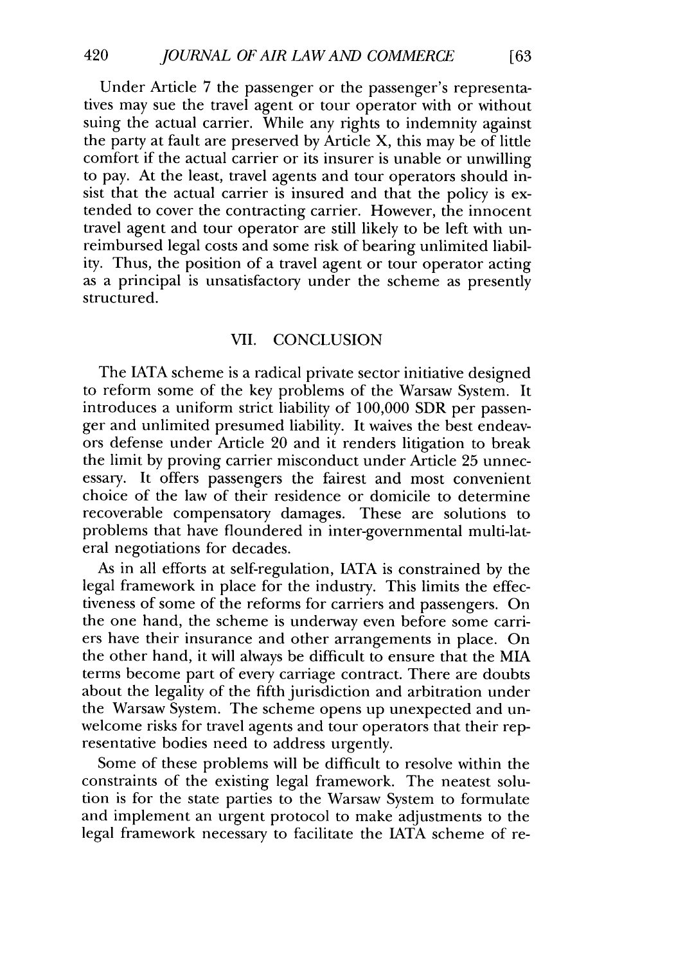Under Article 7 the passenger or the passenger's representatives may sue the travel agent or tour operator with or without suing the actual carrier. While any rights to indemnity against the party at fault are preserved by Article *X,* this may be of little comfort if the actual carrier or its insurer is unable or unwilling to pay. At the least, travel agents and tour operators should insist that the actual carrier is insured and that the policy is extended to cover the contracting carrier. However, the innocent travel agent and tour operator are still likely to be left with unreimbursed legal costs and some risk of bearing unlimited liability. Thus, the position of a travel agent or tour operator acting as a principal is unsatisfactory under the scheme as presently structured.

# VII. CONCLUSION

The IATA scheme is a radical private sector initiative designed to reform some of the key problems of the Warsaw System. It introduces a uniform strict liability of 100,000 SDR per passenger and unlimited presumed liability. It waives the best endeavors defense under Article 20 and it renders litigation to break the limit by proving carrier misconduct under Article 25 unnecessary. It offers passengers the fairest and most convenient choice of the law of their residence or domicile to determine recoverable compensatory damages. These are solutions to problems that have floundered in inter-governmental multi-lateral negotiations for decades.

As in all efforts at self-regulation, IATA is constrained by the legal framework in place for the industry. This limits the effectiveness of some of the reforms for carriers and passengers. On the one hand, the scheme is underway even before some carriers have their insurance and other arrangements in place. On the other hand, it will always be difficult to ensure that the MIA terms become part of every carriage contract. There are doubts about the legality of the fifth jurisdiction and arbitration under the Warsaw System. The scheme opens up unexpected and unwelcome risks for travel agents and tour operators that their representative bodies need to address urgently.

Some of these problems will be difficult to resolve within the constraints of the existing legal framework. The neatest solution is for the state parties to the Warsaw System to formulate and implement an urgent protocol to make adjustments to the legal framework necessary to facilitate the IATA scheme of re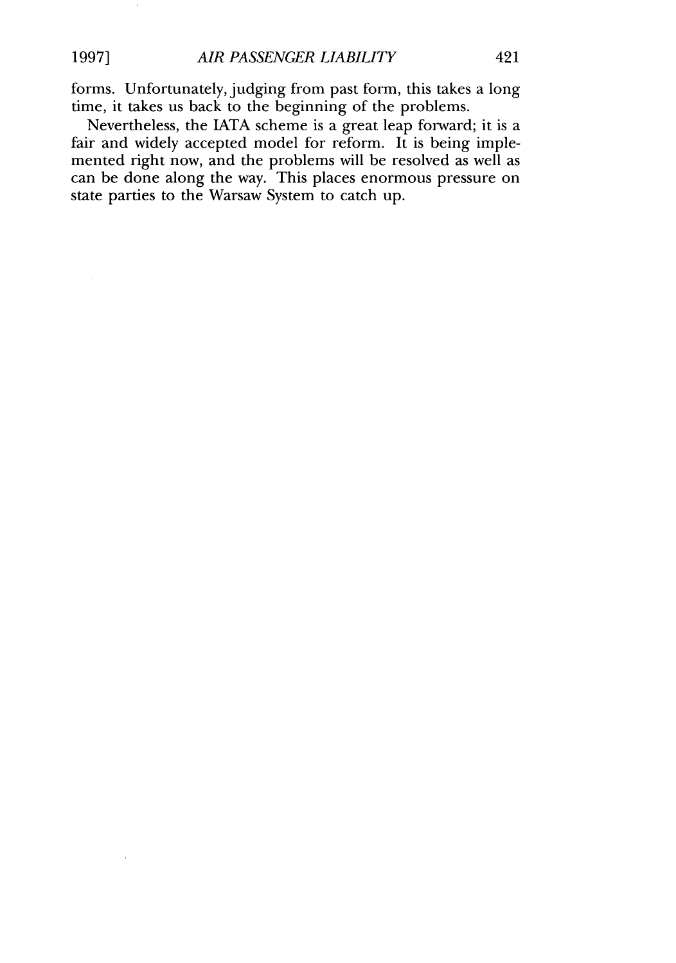forms. Unfortunately, judging from past form, this takes a long time, it takes us back to the beginning of the problems.

Nevertheless, the IATA scheme is a great leap forward; it is a fair and widely accepted model for reform. It is being implemented right now, and the problems will be resolved as well as can be done along the way. This places enormous pressure on state parties to the Warsaw System to catch up.